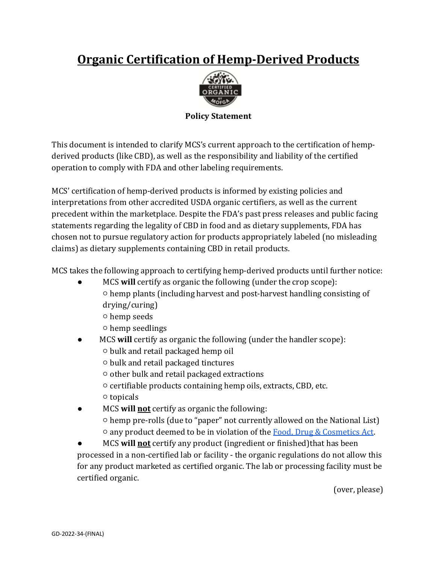## **Organic Certification of Hemp-Derived Products**



## **Policy Statement**

This document is intended to clarify MCS's current approach to the certification of hempderived products (like CBD), as well as the responsibility and liability of the certified operation to comply with FDA and other labeling requirements.

MCS' certification of hemp-derived products is informed by existing policies and interpretations from other accredited USDA organic certifiers, as well as the current precedent within the marketplace. Despite the FDA's past press releases and public facing statements regarding the legality of CBD in food and as dietary supplements, FDA has chosen not to pursue regulatory action for products appropriately labeled (no misleading claims) as dietary supplements containing CBD in retail products.

MCS takes the following approach to certifying hemp-derived products until further notice:

- MCS will certify as organic the following (under the crop scope):  $\circ$  hemp plants (including harvest and post-harvest handling consisting of drying/curing)
	- ○ hemp seeds
	- $\circ$  hemp seedlings
- MCS will certify as organic the following (under the handler scope):
	- ○ bulk and retail packaged hemp oil
	- ○ bulk and retail packaged tinctures
	- $\circ$  other bulk and retail packaged extractions
	- $\circ$  certifiable products containing hemp oils, extracts, CBD, etc.
	- ○ topicals
- MCS will not certify as organic the following:  $\circ$  hemp pre-rolls (due to "paper" not currently allowed on the National List)  $\circ$  any product deemed to be in violation of the Food, Drug & Cosmetics Act.
- MCS will not certify any product (ingredient or finished)that has been processed in a non-certified lab or facility - the organic regulations do not allow this for any product marketed as certified organic. The lab or processing facility must be certified organic.

(over, please)